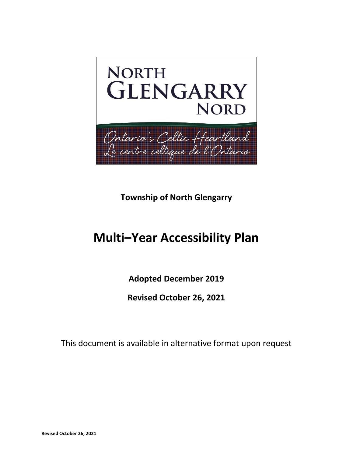

**Township of North Glengarry**

# **Multi–Year Accessibility Plan**

**Adopted December 2019**

**Revised October 26, 2021**

This document is available in alternative format upon request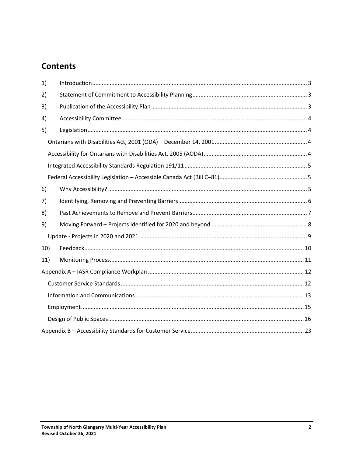## **Contents**

| 1)  |  |
|-----|--|
| 2)  |  |
| 3)  |  |
| 4)  |  |
| 5)  |  |
|     |  |
|     |  |
|     |  |
|     |  |
| 6)  |  |
| 7)  |  |
| 8)  |  |
| 9)  |  |
|     |  |
| 10) |  |
| 11) |  |
|     |  |
|     |  |
|     |  |
|     |  |
|     |  |
|     |  |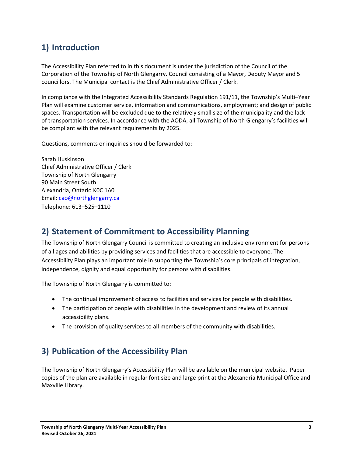## <span id="page-2-0"></span>**1) Introduction**

The Accessibility Plan referred to in this document is under the jurisdiction of the Council of the Corporation of the Township of North Glengarry. Council consisting of a Mayor, Deputy Mayor and 5 councillors. The Municipal contact is the Chief Administrative Officer / Clerk.

In compliance with the Integrated Accessibility Standards Regulation 191/11, the Township's Multi–Year Plan will examine customer service, information and communications, employment; and design of public spaces. Transportation will be excluded due to the relatively small size of the municipality and the lack of transportation services. In accordance with the AODA, all Township of North Glengarry's facilities will be compliant with the relevant requirements by 2025.

Questions, comments or inquiries should be forwarded to:

Sarah Huskinson Chief Administrative Officer / Clerk Township of North Glengarry 90 Main Street South Alexandria, Ontario K0C 1A0 Email: [cao@northglengarry.ca](mailto:cao@northglengarry.ca) Telephone: 613–525–1110

## <span id="page-2-1"></span>**2) Statement of Commitment to Accessibility Planning**

The Township of North Glengarry Council is committed to creating an inclusive environment for persons of all ages and abilities by providing services and facilities that are accessible to everyone. The Accessibility Plan plays an important role in supporting the Township's core principals of integration, independence, dignity and equal opportunity for persons with disabilities.

The Township of North Glengarry is committed to:

- The continual improvement of access to facilities and services for people with disabilities.
- The participation of people with disabilities in the development and review of its annual accessibility plans.
- The provision of quality services to all members of the community with disabilities.

## <span id="page-2-2"></span>**3) Publication of the Accessibility Plan**

The Township of North Glengarry's Accessibility Plan will be available on the municipal website. Paper copies of the plan are available in regular font size and large print at the Alexandria Municipal Office and Maxville Library.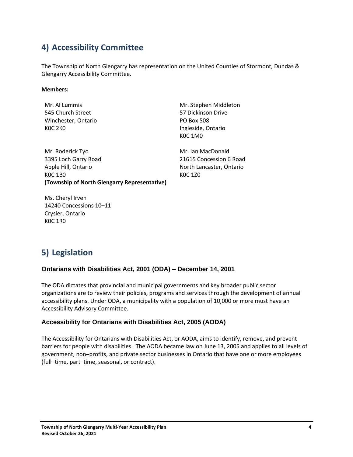## <span id="page-3-0"></span>**4) Accessibility Committee**

The Township of North Glengarry has representation on the United Counties of Stormont, Dundas & Glengarry Accessibility Committee.

#### **Members:**

Mr. Al Lummis 545 Church Street Winchester, Ontario K0C 2K0

Mr. Roderick Tyo 3395 Loch Garry Road Apple Hill, Ontario K0C 1B0 **(Township of North Glengarry Representative)**

Mr. Stephen Middleton 57 Dickinson Drive PO Box 508 Ingleside, Ontario K0C 1M0

Mr. Ian MacDonald 21615 Concession 6 Road North Lancaster, Ontario K0C 1Z0

Ms. Cheryl Irven 14240 Concessions 10–11 Crysler, Ontario K0C 1R0

## <span id="page-3-1"></span>**5) Legislation**

#### <span id="page-3-2"></span>**Ontarians with Disabilities Act, 2001 (ODA) – December 14, 2001**

The ODA dictates that provincial and municipal governments and key broader public sector organizations are to review their policies, programs and services through the development of annual accessibility plans. Under ODA, a municipality with a population of 10,000 or more must have an Accessibility Advisory Committee.

#### <span id="page-3-3"></span>**Accessibility for Ontarians with Disabilities Act, 2005 (AODA)**

The Accessibility for Ontarians with Disabilities Act, or AODA, aims to identify, remove, and prevent barriers for people with disabilities. The AODA became law on June 13, 2005 and applies to all levels of government, non–profits, and private sector businesses in Ontario that have one or more employees (full–time, part–time, seasonal, or contract).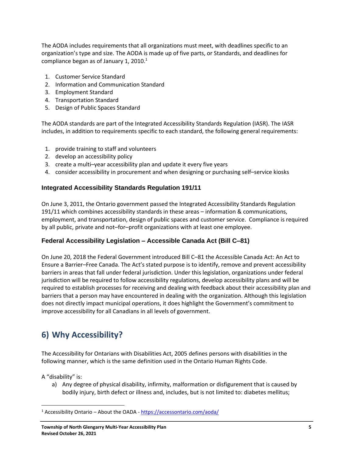The AODA includes requirements that all organizations must meet, with deadlines specific to an organization's type and size. The AODA is made up of five parts, or Standards, and deadlines for compliance began as of January 1, 2010. $1$ 

- 1. Customer Service Standard
- 2. Information and Communication Standard
- 3. Employment Standard
- 4. Transportation Standard
- 5. Design of Public Spaces Standard

The AODA standards are part of the Integrated Accessibility Standards Regulation (IASR). The IASR includes, in addition to requirements specific to each standard, the following general requirements:

- 1. provide training to staff and volunteers
- 2. develop an accessibility policy
- 3. create a multi–year accessibility plan and update it every five years
- 4. consider accessibility in procurement and when designing or purchasing self–service kiosks

#### <span id="page-4-0"></span>**Integrated Accessibility Standards Regulation 191/11**

On June 3, 2011, the Ontario government passed the Integrated Accessibility Standards Regulation 191/11 which combines accessibility standards in these areas – information & communications, employment, and transportation, design of public spaces and customer service. Compliance is required by all public, private and not–for–profit organizations with at least one employee.

#### <span id="page-4-1"></span>**Federal Accessibility Legislation – Accessible Canada Act (Bill C–81)**

On June 20, 2018 the Federal Government introduced Bill C–81 the Accessible Canada Act: An Act to Ensure a Barrier–Free Canada. The Act's stated purpose is to identify, remove and prevent accessibility barriers in areas that fall under federal jurisdiction. Under this legislation, organizations under federal jurisdiction will be required to follow accessibility regulations, develop accessibility plans and will be required to establish processes for receiving and dealing with feedback about their accessibility plan and barriers that a person may have encountered in dealing with the organization. Although this legislation does not directly impact municipal operations, it does highlight the Government's commitment to improve accessibility for all Canadians in all levels of government.

## <span id="page-4-2"></span>**6) Why Accessibility?**

The Accessibility for Ontarians with Disabilities Act, 2005 defines persons with disabilities in the following manner, which is the same definition used in the Ontario Human Rights Code.

A "disability" is:

a) Any degree of physical disability, infirmity, malformation or disfigurement that is caused by bodily injury, birth defect or illness and, includes, but is not limited to: diabetes mellitus;

<sup>&</sup>lt;sup>1</sup> Accessibility Ontario – About the OADA - <https://accessontario.com/aoda/>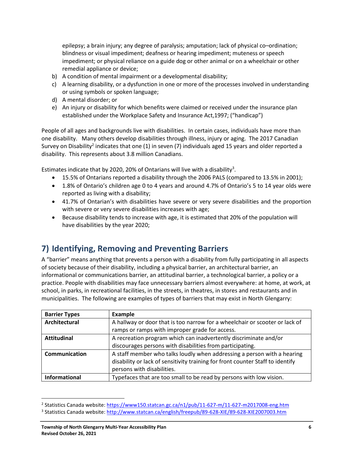epilepsy; a brain injury; any degree of paralysis; amputation; lack of physical co–ordination; blindness or visual impediment; deafness or hearing impediment; muteness or speech impediment; or physical reliance on a guide dog or other animal or on a wheelchair or other remedial appliance or device;

- b) A condition of mental impairment or a developmental disability;
- c) A learning disability, or a dysfunction in one or more of the processes involved in understanding or using symbols or spoken language;
- d) A mental disorder; or
- e) An injury or disability for which benefits were claimed or received under the insurance plan established under the Workplace Safety and Insurance Act,1997; ("handicap")

People of all ages and backgrounds live with disabilities. In certain cases, individuals have more than one disability. Many others develop disabilities through illness, injury or aging. The 2017 Canadian Survey on Disability<sup>2</sup> indicates that one (1) in seven (7) individuals aged 15 years and older reported a disability. This represents about 3.8 million Canadians.

Estimates indicate that by 2020, 20% of Ontarians will live with a disability<sup>3</sup>.

- 15.5% of Ontarians reported a disability through the 2006 PALS (compared to 13.5% in 2001);
- 1.8% of Ontario's children age 0 to 4 years and around 4.7% of Ontario's 5 to 14 year olds were reported as living with a disability;
- 41.7% of Ontarian's with disabilities have severe or very severe disabilities and the proportion with severe or very severe disabilities increases with age;
- Because disability tends to increase with age, it is estimated that 20% of the population will have disabilities by the year 2020;

## <span id="page-5-0"></span>**7) Identifying, Removing and Preventing Barriers**

A "barrier" means anything that prevents a person with a disability from fully participating in all aspects of society because of their disability, including a physical barrier, an architectural barrier, an informational or communications barrier, an attitudinal barrier, a technological barrier, a policy or a practice. People with disabilities may face unnecessary barriers almost everywhere: at home, at work, at school, in parks, in recreational facilities, in the streets, in theatres, in stores and restaurants and in municipalities. The following are examples of types of barriers that may exist in North Glengarry:

| <b>Barrier Types</b> | <b>Example</b>                                                                 |
|----------------------|--------------------------------------------------------------------------------|
| Architectural        | A hallway or door that is too narrow for a wheelchair or scooter or lack of    |
|                      | ramps or ramps with improper grade for access.                                 |
| <b>Attitudinal</b>   | A recreation program which can inadvertently discriminate and/or               |
|                      | discourages persons with disabilities from participating.                      |
| Communication        | A staff member who talks loudly when addressing a person with a hearing        |
|                      | disability or lack of sensitivity training for front counter Staff to identify |
|                      | persons with disabilities.                                                     |
| <b>Informational</b> | Typefaces that are too small to be read by persons with low vision.            |

<sup>&</sup>lt;sup>2</sup> Statistics Canada website: <u>https://www150.statcan.gc.ca/n1/pub/11-627-m/11-627-m2017008-eng.htm</u>

<sup>&</sup>lt;sup>3</sup> Statistics Canada website: <u>http://www.statcan.ca/english/freepub/89-628-XIE/89-628-XIE2007003.htm</u>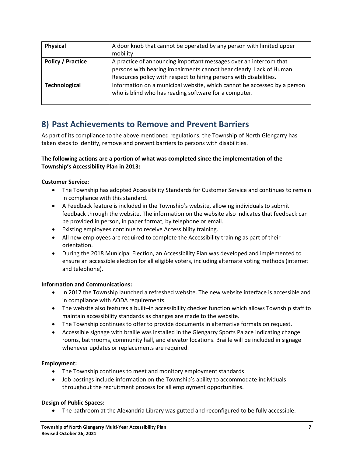| Physical                 | A door knob that cannot be operated by any person with limited upper     |
|--------------------------|--------------------------------------------------------------------------|
|                          | mobility.                                                                |
| <b>Policy / Practice</b> | A practice of announcing important messages over an intercom that        |
|                          | persons with hearing impairments cannot hear clearly. Lack of Human      |
|                          | Resources policy with respect to hiring persons with disabilities.       |
| <b>Technological</b>     | Information on a municipal website, which cannot be accessed by a person |
|                          | who is blind who has reading software for a computer.                    |
|                          |                                                                          |

## <span id="page-6-0"></span>**8) Past Achievements to Remove and Prevent Barriers**

As part of its compliance to the above mentioned regulations, the Township of North Glengarry has taken steps to identify, remove and prevent barriers to persons with disabilities.

#### **The following actions are a portion of what was completed since the implementation of the Township's Accessibility Plan in 2013:**

#### **Customer Service:**

- The Township has adopted Accessibility Standards for Customer Service and continues to remain in compliance with this standard.
- A Feedback feature is included in the Township's website, allowing individuals to submit feedback through the website. The information on the website also indicates that feedback can be provided in person, in paper format, by telephone or email.
- Existing employees continue to receive Accessibility training.
- All new employees are required to complete the Accessibility training as part of their orientation.
- During the 2018 Municipal Election, an Accessibility Plan was developed and implemented to ensure an accessible election for all eligible voters, including alternate voting methods (internet and telephone).

#### **Information and Communications:**

- In 2017 the Township launched a refreshed website. The new website interface is accessible and in compliance with AODA requirements.
- The website also features a built–in accessibility checker function which allows Township staff to maintain accessibility standards as changes are made to the website.
- The Township continues to offer to provide documents in alternative formats on request.
- Accessible signage with braille was installed in the Glengarry Sports Palace indicating change rooms, bathrooms, community hall, and elevator locations. Braille will be included in signage whenever updates or replacements are required.

#### **Employment:**

- The Township continues to meet and monitory employment standards
- Job postings include information on the Township's ability to accommodate individuals throughout the recruitment process for all employment opportunities.

#### **Design of Public Spaces:**

• The bathroom at the Alexandria Library was gutted and reconfigured to be fully accessible.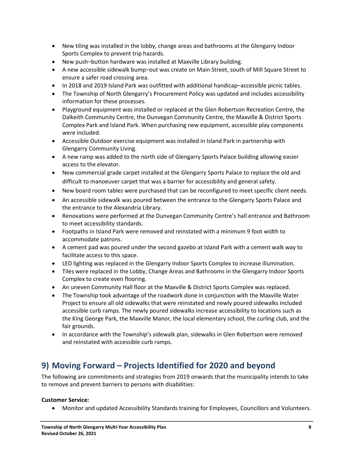- New tiling was installed in the lobby, change areas and bathrooms at the Glengarry Indoor Sports Complex to prevent trip hazards.
- New push–button hardware was installed at Maxville Library building.
- A new accessible sidewalk bump–out was create on Main Street, south of Mill Square Street to ensure a safer road crossing area.
- In 2018 and 2019 Island Park was outfitted with additional handicap–accessible picnic tables.
- The Township of North Glengarry's Procurement Policy was updated and includes accessibility information for these processes.
- Playground equipment was installed or replaced at the Glen Robertson Recreation Centre, the Dalkeith Community Centre, the Dunvegan Community Centre, the Maxville & District Sports Complex Park and Island Park. When purchasing new equipment, accessible play components were included.
- Accessible Outdoor exercise equipment was installed in Island Park in partnership with Glengarry Community Living.
- A new ramp was added to the north side of Glengarry Sports Palace building allowing easier access to the elevator.
- New commercial grade carpet installed at the Glengarry Sports Palace to replace the old and difficult to manoeuver carpet that was a barrier for accessibility and general safety.
- New board room tables were purchased that can be reconfigured to meet specific client needs.
- An accessible sidewalk was poured between the entrance to the Glengarry Sports Palace and the entrance to the Alexandria Library.
- Renovations were performed at the Dunvegan Community Centre's hall entrance and Bathroom to meet accessibility standards.
- Footpaths in Island Park were removed and reinstated with a minimum 9 foot width to accommodate patrons.
- A cement pad was poured under the second gazebo at Island Park with a cement walk way to facilitate access to this space.
- LED lighting was replaced in the Glengarry Indoor Sports Complex to increase illumination.
- Tiles were replaced in the Lobby, Change Areas and Bathrooms in the Glengarry Indoor Sports Complex to create even flooring.
- An uneven Community Hall floor at the Maxville & District Sports Complex was replaced.
- The Township took advantage of the roadwork done in conjunction with the Maxville Water Project to ensure all old sidewalks that were reinstated and newly poured sidewalks included accessible curb ramps. The newly poured sidewalks increase accessibility to locations such as the King George Park, the Maxville Manor, the local elementary school, the curling club, and the fair grounds.
- In accordance with the Township's sidewalk plan, sidewalks in Glen Robertson were removed and reinstated with accessible curb ramps.

## <span id="page-7-0"></span>**9) Moving Forward – Projects Identified for 2020 and beyond**

The following are commitments and strategies from 2019 onwards that the municipality intends to take to remove and prevent barriers to persons with disabilities:

#### **Customer Service:**

• Monitor and updated Accessibility Standards training for Employees, Councillors and Volunteers.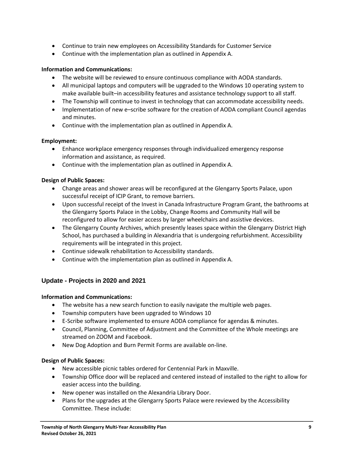- Continue to train new employees on Accessibility Standards for Customer Service
- Continue with the implementation plan as outlined in Appendix A.

#### **Information and Communications:**

- The website will be reviewed to ensure continuous compliance with AODA standards.
- All municipal laptops and computers will be upgraded to the Windows 10 operating system to make available built–in accessibility features and assistance technology support to all staff.
- The Township will continue to invest in technology that can accommodate accessibility needs.
- Implementation of new e–scribe software for the creation of AODA compliant Council agendas and minutes.
- Continue with the implementation plan as outlined in Appendix A.

#### **Employment:**

- Enhance workplace emergency responses through individualized emergency response information and assistance, as required.
- Continue with the implementation plan as outlined in Appendix A.

#### **Design of Public Spaces:**

- Change areas and shower areas will be reconfigured at the Glengarry Sports Palace, upon successful receipt of ICIP Grant, to remove barriers.
- Upon successful receipt of the Invest in Canada Infrastructure Program Grant, the bathrooms at the Glengarry Sports Palace in the Lobby, Change Rooms and Community Hall will be reconfigured to allow for easier access by larger wheelchairs and assistive devices.
- The Glengarry County Archives, which presently leases space within the Glengarry District High School, has purchased a building in Alexandria that is undergoing refurbishment. Accessibility requirements will be integrated in this project.
- Continue sidewalk rehabilitation to Accessibility standards.
- Continue with the implementation plan as outlined in Appendix A.

#### <span id="page-8-0"></span>**Update - Projects in 2020 and 2021**

#### **Information and Communications:**

- The website has a new search function to easily navigate the multiple web pages.
- Township computers have been upgraded to Windows 10
- E-Scribe software implemented to ensure AODA compliance for agendas & minutes.
- Council, Planning, Committee of Adjustment and the Committee of the Whole meetings are streamed on ZOOM and Facebook.
- New Dog Adoption and Burn Permit Forms are available on-line.

#### **Design of Public Spaces:**

- New accessible picnic tables ordered for Centennial Park in Maxville.
- Township Office door will be replaced and centered instead of installed to the right to allow for easier access into the building.
- New opener was installed on the Alexandria Library Door.
- Plans for the upgrades at the Glengarry Sports Palace were reviewed by the Accessibility Committee. These include: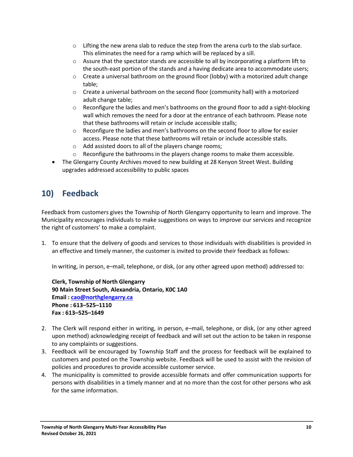- $\circ$  Lifting the new arena slab to reduce the step from the arena curb to the slab surface. This eliminates the need for a ramp which will be replaced by a sill.
- $\circ$  Assure that the spectator stands are accessible to all by incorporating a platform lift to the south-east portion of the stands and a having dedicate area to accommodate users;
- $\circ$  Create a universal bathroom on the ground floor (lobby) with a motorized adult change table;
- $\circ$  Create a universal bathroom on the second floor (community hall) with a motorized adult change table;
- $\circ$  Reconfigure the ladies and men's bathrooms on the ground floor to add a sight-blocking wall which removes the need for a door at the entrance of each bathroom. Please note that these bathrooms will retain or include accessible stalls;
- $\circ$  Reconfigure the ladies and men's bathrooms on the second floor to allow for easier access. Please note that these bathrooms will retain or include accessible stalls.
- o Add assisted doors to all of the players change rooms;
- $\circ$  Reconfigure the bathrooms in the players change rooms to make them accessible.
- The Glengarry County Archives moved to new building at 28 Kenyon Street West. Building upgrades addressed accessibility to public spaces

## <span id="page-9-0"></span>**10) Feedback**

Feedback from customers gives the Township of North Glengarry opportunity to learn and improve. The Municipality encourages individuals to make suggestions on ways to improve our services and recognize the right of customers' to make a complaint.

1. To ensure that the delivery of goods and services to those individuals with disabilities is provided in an effective and timely manner, the customer is invited to provide their feedback as follows:

In writing, in person, e–mail, telephone, or disk, (or any other agreed upon method) addressed to:

**Clerk, Township of North Glengarry 90 Main Street South, Alexandria, Ontario, K0C 1A0 Email : [cao@northglengarry.ca](mailto:cao@northglengarry.ca) Phone : 613–525–1110 Fax : 613–525–1649**

- 2. The Clerk will respond either in writing, in person, e–mail, telephone, or disk, (or any other agreed upon method) acknowledging receipt of feedback and will set out the action to be taken in response to any complaints or suggestions.
- 3. Feedback will be encouraged by Township Staff and the process for feedback will be explained to customers and posted on the Township website. Feedback will be used to assist with the revision of policies and procedures to provide accessible customer service.
- 4. The municipality is committed to provide accessible formats and offer communication supports for persons with disabilities in a timely manner and at no more than the cost for other persons who ask for the same information.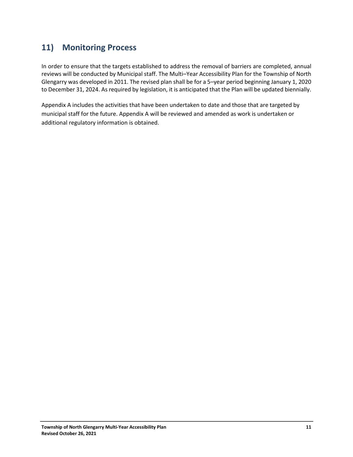## <span id="page-10-0"></span>**11) Monitoring Process**

In order to ensure that the targets established to address the removal of barriers are completed, annual reviews will be conducted by Municipal staff. The Multi–Year Accessibility Plan for the Township of North Glengarry was developed in 2011. The revised plan shall be for a 5–year period beginning January 1, 2020 to December 31, 2024. As required by legislation, it is anticipated that the Plan will be updated biennially.

Appendix A includes the activities that have been undertaken to date and those that are targeted by municipal staff for the future. Appendix A will be reviewed and amended as work is undertaken or additional regulatory information is obtained.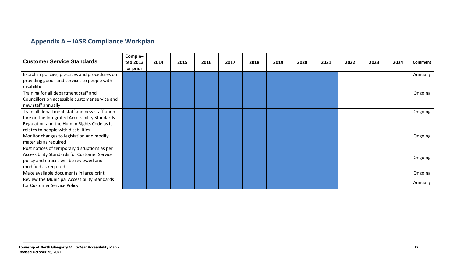## **Appendix A – IASR Compliance Workplan**

<span id="page-11-1"></span><span id="page-11-0"></span>

| <b>Customer Service Standards</b>               | Comple-<br>ted 2013 | 2014 | 2015 | 2016 | 2017 | 2018 | 2019 | 2020 | 2021 | 2022 | 2023 | 2024 | Comment  |
|-------------------------------------------------|---------------------|------|------|------|------|------|------|------|------|------|------|------|----------|
|                                                 | or prior            |      |      |      |      |      |      |      |      |      |      |      |          |
| Establish policies, practices and procedures on |                     |      |      |      |      |      |      |      |      |      |      |      | Annually |
| providing goods and services to people with     |                     |      |      |      |      |      |      |      |      |      |      |      |          |
| disabilities                                    |                     |      |      |      |      |      |      |      |      |      |      |      |          |
| Training for all department staff and           |                     |      |      |      |      |      |      |      |      |      |      |      | Ongoing  |
| Councillors on accessible customer service and  |                     |      |      |      |      |      |      |      |      |      |      |      |          |
| new staff annually                              |                     |      |      |      |      |      |      |      |      |      |      |      |          |
| Train all department staff and new staff upon   |                     |      |      |      |      |      |      |      |      |      |      |      | Ongoing  |
| hire on the Integrated Accessibility Standards  |                     |      |      |      |      |      |      |      |      |      |      |      |          |
| Regulation and the Human Rights Code as it      |                     |      |      |      |      |      |      |      |      |      |      |      |          |
| relates to people with disabilities             |                     |      |      |      |      |      |      |      |      |      |      |      |          |
| Monitor changes to legislation and modify       |                     |      |      |      |      |      |      |      |      |      |      |      | Ongoing  |
| materials as required                           |                     |      |      |      |      |      |      |      |      |      |      |      |          |
| Post notices of temporary disruptions as per    |                     |      |      |      |      |      |      |      |      |      |      |      |          |
| Accessibility Standards for Customer Service    |                     |      |      |      |      |      |      |      |      |      |      |      | Ongoing  |
| policy and notices will be reviewed and         |                     |      |      |      |      |      |      |      |      |      |      |      |          |
| modified as required                            |                     |      |      |      |      |      |      |      |      |      |      |      |          |
| Make available documents in large print         |                     |      |      |      |      |      |      |      |      |      |      |      | Ongoing  |
| Review the Municipal Accessibility Standards    |                     |      |      |      |      |      |      |      |      |      |      |      | Annually |
| for Customer Service Policy                     |                     |      |      |      |      |      |      |      |      |      |      |      |          |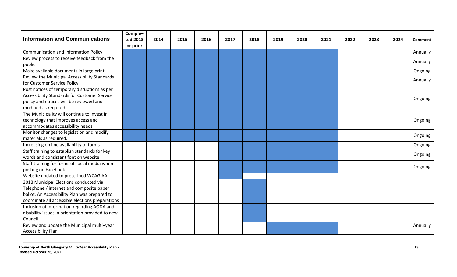<span id="page-12-0"></span>

| <b>Information and Communications</b>            | Comple-<br>ted 2013<br>or prior | 2014 | 2015 | 2016 | 2017 | 2018 | 2019 | 2020 | 2021 | 2022 | 2023 | 2024 | <b>Comment</b> |
|--------------------------------------------------|---------------------------------|------|------|------|------|------|------|------|------|------|------|------|----------------|
| <b>Communication and Information Policy</b>      |                                 |      |      |      |      |      |      |      |      |      |      |      | Annually       |
| Review process to receive feedback from the      |                                 |      |      |      |      |      |      |      |      |      |      |      |                |
| public                                           |                                 |      |      |      |      |      |      |      |      |      |      |      | Annually       |
| Make available documents in large print          |                                 |      |      |      |      |      |      |      |      |      |      |      | Ongoing        |
| Review the Municipal Accessibility Standards     |                                 |      |      |      |      |      |      |      |      |      |      |      |                |
| for Customer Service Policy                      |                                 |      |      |      |      |      |      |      |      |      |      |      | Annually       |
| Post notices of temporary disruptions as per     |                                 |      |      |      |      |      |      |      |      |      |      |      |                |
| Accessibility Standards for Customer Service     |                                 |      |      |      |      |      |      |      |      |      |      |      | Ongoing        |
| policy and notices will be reviewed and          |                                 |      |      |      |      |      |      |      |      |      |      |      |                |
| modified as required                             |                                 |      |      |      |      |      |      |      |      |      |      |      |                |
| The Municipality will continue to invest in      |                                 |      |      |      |      |      |      |      |      |      |      |      |                |
| technology that improves access and              |                                 |      |      |      |      |      |      |      |      |      |      |      | Ongoing        |
| accommodates accessibility needs                 |                                 |      |      |      |      |      |      |      |      |      |      |      |                |
| Monitor changes to legislation and modify        |                                 |      |      |      |      |      |      |      |      |      |      |      | Ongoing        |
| materials as required.                           |                                 |      |      |      |      |      |      |      |      |      |      |      |                |
| Increasing on line availability of forms         |                                 |      |      |      |      |      |      |      |      |      |      |      | Ongoing        |
| Staff training to establish standards for key    |                                 |      |      |      |      |      |      |      |      |      |      |      | Ongoing        |
| words and consistent font on website             |                                 |      |      |      |      |      |      |      |      |      |      |      |                |
| Staff training for forms of social media when    |                                 |      |      |      |      |      |      |      |      |      |      |      | Ongoing        |
| posting on Facebook                              |                                 |      |      |      |      |      |      |      |      |      |      |      |                |
| Website updated to prescribed WCAG AA            |                                 |      |      |      |      |      |      |      |      |      |      |      |                |
| 2018 Municipal Elections conducted via           |                                 |      |      |      |      |      |      |      |      |      |      |      |                |
| Telephone / internet and composite paper         |                                 |      |      |      |      |      |      |      |      |      |      |      |                |
| ballot. An Accessibility Plan was prepared to    |                                 |      |      |      |      |      |      |      |      |      |      |      |                |
| coordinate all accessible elections preparations |                                 |      |      |      |      |      |      |      |      |      |      |      |                |
| Inclusion of information regarding AODA and      |                                 |      |      |      |      |      |      |      |      |      |      |      |                |
| disability issues in orientation provided to new |                                 |      |      |      |      |      |      |      |      |      |      |      |                |
| Council                                          |                                 |      |      |      |      |      |      |      |      |      |      |      |                |
| Review and update the Municipal multi-year       |                                 |      |      |      |      |      |      |      |      |      |      |      | Annually       |
| <b>Accessibility Plan</b>                        |                                 |      |      |      |      |      |      |      |      |      |      |      |                |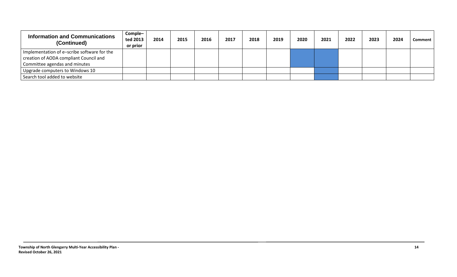| <b>Information and Communications</b><br>(Continued) | Comple-<br>ted 2013<br>or prior | 2014 | 2015 | 2016 | 2017 | 2018 | 2019 | 2020 | 2021 | 2022 | 2023 | 2024 | Comment |
|------------------------------------------------------|---------------------------------|------|------|------|------|------|------|------|------|------|------|------|---------|
| Implementation of e-scribe software for the          |                                 |      |      |      |      |      |      |      |      |      |      |      |         |
| creation of AODA compliant Council and               |                                 |      |      |      |      |      |      |      |      |      |      |      |         |
| Committee agendas and minutes                        |                                 |      |      |      |      |      |      |      |      |      |      |      |         |
| Upgrade computers to Windows 10                      |                                 |      |      |      |      |      |      |      |      |      |      |      |         |
| Search tool added to website                         |                                 |      |      |      |      |      |      |      |      |      |      |      |         |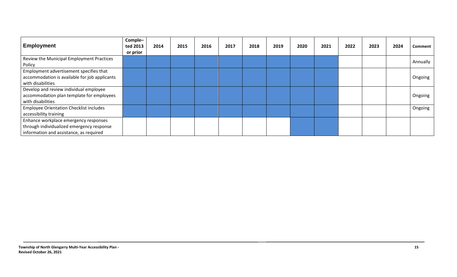<span id="page-14-0"></span>

| <b>Employment</b>                                                                                                             | Comple-<br>ted 2013<br>or prior | 2014 | 2015 | 2016 | 2017 | 2018 | 2019 | 2020 | 2021 | 2022 | 2023 | 2024 | <b>Comment</b> |
|-------------------------------------------------------------------------------------------------------------------------------|---------------------------------|------|------|------|------|------|------|------|------|------|------|------|----------------|
| Review the Municipal Employment Practices<br>Policy                                                                           |                                 |      |      |      |      |      |      |      |      |      |      |      | Annually       |
| Employment advertisement specifies that<br>accommodation is available for job applicants<br>with disabilities                 |                                 |      |      |      |      |      |      |      |      |      |      |      | Ongoing        |
| Develop and review individual employee<br>accommodation plan template for employees<br>with disabilities                      |                                 |      |      |      |      |      |      |      |      |      |      |      | Ongoing        |
| <b>Employee Orientation Checklist includes</b><br>accessibility training                                                      |                                 |      |      |      |      |      |      |      |      |      |      |      | Ongoing        |
| Enhance workplace emergency responses<br>through individualized emergency response<br>information and assistance, as required |                                 |      |      |      |      |      |      |      |      |      |      |      |                |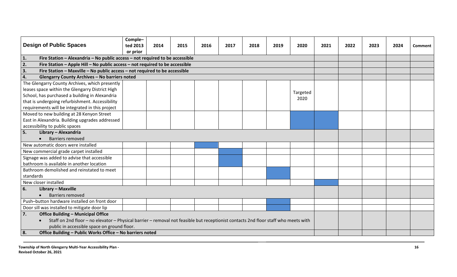<span id="page-15-0"></span>

| <b>Design of Public Spaces</b>                                                                                                      | Comple-<br>ted 2013 | 2014 | 2015 | 2016 | 2017 | 2018 | 2019 | 2020     | 2021 | 2022 | 2023 | 2024 | <b>Comment</b> |
|-------------------------------------------------------------------------------------------------------------------------------------|---------------------|------|------|------|------|------|------|----------|------|------|------|------|----------------|
| 1.<br>Fire Station - Alexandria - No public access - not required to be accessible                                                  | or prior            |      |      |      |      |      |      |          |      |      |      |      |                |
| 2.<br>Fire Station - Apple Hill - No public access - not required to be accessible                                                  |                     |      |      |      |      |      |      |          |      |      |      |      |                |
| 3.                                                                                                                                  |                     |      |      |      |      |      |      |          |      |      |      |      |                |
| Fire Station - Maxville - No public access - not required to be accessible<br><b>Glengarry County Archives - No barriers noted</b>  |                     |      |      |      |      |      |      |          |      |      |      |      |                |
| 4.                                                                                                                                  |                     |      |      |      |      |      |      |          |      |      |      |      |                |
| The Glengarry County Archives, which presently                                                                                      |                     |      |      |      |      |      |      |          |      |      |      |      |                |
| leases space within the Glengarry District High                                                                                     |                     |      |      |      |      |      |      | Targeted |      |      |      |      |                |
| School, has purchased a building in Alexandria                                                                                      |                     |      |      |      |      |      |      | 2020     |      |      |      |      |                |
| that is undergoing refurbishment. Accessibility                                                                                     |                     |      |      |      |      |      |      |          |      |      |      |      |                |
| requirements will be integrated in this project                                                                                     |                     |      |      |      |      |      |      |          |      |      |      |      |                |
| Moved to new building at 28 Kenyon Street                                                                                           |                     |      |      |      |      |      |      |          |      |      |      |      |                |
| East in Alexandria. Building upgrades addressed                                                                                     |                     |      |      |      |      |      |      |          |      |      |      |      |                |
| accessibility to public spaces                                                                                                      |                     |      |      |      |      |      |      |          |      |      |      |      |                |
| 5.<br>Library - Alexandria                                                                                                          |                     |      |      |      |      |      |      |          |      |      |      |      |                |
| <b>Barriers removed</b>                                                                                                             |                     |      |      |      |      |      |      |          |      |      |      |      |                |
| New automatic doors were installed                                                                                                  |                     |      |      |      |      |      |      |          |      |      |      |      |                |
| New commercial grade carpet installed                                                                                               |                     |      |      |      |      |      |      |          |      |      |      |      |                |
| Signage was added to advise that accessible                                                                                         |                     |      |      |      |      |      |      |          |      |      |      |      |                |
| bathroom is available in another location                                                                                           |                     |      |      |      |      |      |      |          |      |      |      |      |                |
| Bathroom demolished and reinstated to meet                                                                                          |                     |      |      |      |      |      |      |          |      |      |      |      |                |
| standards                                                                                                                           |                     |      |      |      |      |      |      |          |      |      |      |      |                |
| New closer installed                                                                                                                |                     |      |      |      |      |      |      |          |      |      |      |      |                |
| 6.<br>Library - Maxville                                                                                                            |                     |      |      |      |      |      |      |          |      |      |      |      |                |
| <b>Barriers removed</b>                                                                                                             |                     |      |      |      |      |      |      |          |      |      |      |      |                |
| Push-button hardware installed on front door                                                                                        |                     |      |      |      |      |      |      |          |      |      |      |      |                |
| Door sill was installed to mitigate door lip                                                                                        |                     |      |      |      |      |      |      |          |      |      |      |      |                |
| 7.<br><b>Office Building - Municipal Office</b>                                                                                     |                     |      |      |      |      |      |      |          |      |      |      |      |                |
| Staff on 2nd floor - no elevator - Physical barrier - removal not feasible but receptionist contacts 2nd floor staff who meets with |                     |      |      |      |      |      |      |          |      |      |      |      |                |
| public in accessible space on ground floor.                                                                                         |                     |      |      |      |      |      |      |          |      |      |      |      |                |
| Office Building - Public Works Office - No barriers noted<br>8.                                                                     |                     |      |      |      |      |      |      |          |      |      |      |      |                |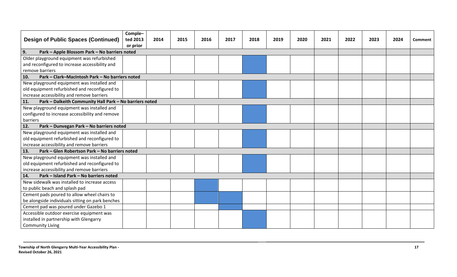| <b>Design of Public Spaces (Continued)</b>                     | Comple-<br>ted 2013 | 2014 | 2015 | 2016 | 2017 | 2018 | 2019 | 2020 | 2021 | 2022 | 2023 | 2024 | Comment |
|----------------------------------------------------------------|---------------------|------|------|------|------|------|------|------|------|------|------|------|---------|
|                                                                | or prior            |      |      |      |      |      |      |      |      |      |      |      |         |
| 9.<br>Park - Apple Blossom Park - No barriers noted            |                     |      |      |      |      |      |      |      |      |      |      |      |         |
| Older playground equipment was refurbished                     |                     |      |      |      |      |      |      |      |      |      |      |      |         |
| and reconfigured to increase accessibility and                 |                     |      |      |      |      |      |      |      |      |      |      |      |         |
| remove barriers                                                |                     |      |      |      |      |      |      |      |      |      |      |      |         |
| Park - Clark-MacIntosh Park - No barriers noted<br>10.         |                     |      |      |      |      |      |      |      |      |      |      |      |         |
| New playground equipment was installed and                     |                     |      |      |      |      |      |      |      |      |      |      |      |         |
| old equipment refurbished and reconfigured to                  |                     |      |      |      |      |      |      |      |      |      |      |      |         |
| increase accessibility and remove barriers                     |                     |      |      |      |      |      |      |      |      |      |      |      |         |
| Park - Dalkeith Community Hall Park - No barriers noted<br>11. |                     |      |      |      |      |      |      |      |      |      |      |      |         |
| New playground equipment was installed and                     |                     |      |      |      |      |      |      |      |      |      |      |      |         |
| configured to increase accessibility and remove                |                     |      |      |      |      |      |      |      |      |      |      |      |         |
| barriers                                                       |                     |      |      |      |      |      |      |      |      |      |      |      |         |
| Park - Dunvegan Park - No barriers noted<br>12.                |                     |      |      |      |      |      |      |      |      |      |      |      |         |
| New playground equipment was installed and                     |                     |      |      |      |      |      |      |      |      |      |      |      |         |
| old equipment refurbished and reconfigured to                  |                     |      |      |      |      |      |      |      |      |      |      |      |         |
| increase accessibility and remove barriers                     |                     |      |      |      |      |      |      |      |      |      |      |      |         |
| Park - Glen Robertson Park - No barriers noted<br>13.          |                     |      |      |      |      |      |      |      |      |      |      |      |         |
| New playground equipment was installed and                     |                     |      |      |      |      |      |      |      |      |      |      |      |         |
| old equipment refurbished and reconfigured to                  |                     |      |      |      |      |      |      |      |      |      |      |      |         |
| increase accessibility and remove barriers                     |                     |      |      |      |      |      |      |      |      |      |      |      |         |
| Park - Island Park - No barriers noted<br>14.                  |                     |      |      |      |      |      |      |      |      |      |      |      |         |
| New sidewalk was installed to increase access                  |                     |      |      |      |      |      |      |      |      |      |      |      |         |
| to public beach and splash pad                                 |                     |      |      |      |      |      |      |      |      |      |      |      |         |
| Cement pads poured to allow wheel chairs to                    |                     |      |      |      |      |      |      |      |      |      |      |      |         |
| be alongside individuals sitting on park benches               |                     |      |      |      |      |      |      |      |      |      |      |      |         |
| Cement pad was poured under Gazebo 1                           |                     |      |      |      |      |      |      |      |      |      |      |      |         |
| Accessible outdoor exercise equipment was                      |                     |      |      |      |      |      |      |      |      |      |      |      |         |
| installed in partnership with Glengarry                        |                     |      |      |      |      |      |      |      |      |      |      |      |         |
| <b>Community Living</b>                                        |                     |      |      |      |      |      |      |      |      |      |      |      |         |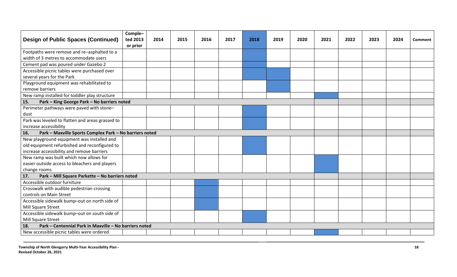| <b>Design of Public Spaces (Continued)</b>                     | Comple-<br>ted 2013<br>or prior | 2014 | 2015 | 2016 | 2017 | 2018 | 2019 | 2020 | 2021 | 2022 | 2023 | 2024 | <b>Comment</b> |
|----------------------------------------------------------------|---------------------------------|------|------|------|------|------|------|------|------|------|------|------|----------------|
| Footpaths were remove and re-asphalted to a                    |                                 |      |      |      |      |      |      |      |      |      |      |      |                |
| width of 3 metres to accommodate users                         |                                 |      |      |      |      |      |      |      |      |      |      |      |                |
| Cement pad was poured under Gazebo 2                           |                                 |      |      |      |      |      |      |      |      |      |      |      |                |
| Accessible picnic tables were purchased over                   |                                 |      |      |      |      |      |      |      |      |      |      |      |                |
| several years for the Park                                     |                                 |      |      |      |      |      |      |      |      |      |      |      |                |
| Playground equipment was rehabilitated to                      |                                 |      |      |      |      |      |      |      |      |      |      |      |                |
| remove barriers                                                |                                 |      |      |      |      |      |      |      |      |      |      |      |                |
| New ramp installed for toddler play structure                  |                                 |      |      |      |      |      |      |      |      |      |      |      |                |
| 15.<br>Park - King George Park - No barriers noted             |                                 |      |      |      |      |      |      |      |      |      |      |      |                |
| Perimeter pathways were paved with stone-                      |                                 |      |      |      |      |      |      |      |      |      |      |      |                |
| dust                                                           |                                 |      |      |      |      |      |      |      |      |      |      |      |                |
| Park was leveled to flatten and areas grassed to               |                                 |      |      |      |      |      |      |      |      |      |      |      |                |
| increase accessibility                                         |                                 |      |      |      |      |      |      |      |      |      |      |      |                |
| Park - Maxville Sports Complex Park - No barriers noted<br>16. |                                 |      |      |      |      |      |      |      |      |      |      |      |                |
| New playground equipment was installed and                     |                                 |      |      |      |      |      |      |      |      |      |      |      |                |
| old equipment refurbished and reconfigured to                  |                                 |      |      |      |      |      |      |      |      |      |      |      |                |
| increase accessibility and remove barriers                     |                                 |      |      |      |      |      |      |      |      |      |      |      |                |
| New ramp was built which now allows for                        |                                 |      |      |      |      |      |      |      |      |      |      |      |                |
| easier outside access to bleachers and players                 |                                 |      |      |      |      |      |      |      |      |      |      |      |                |
| change rooms                                                   |                                 |      |      |      |      |      |      |      |      |      |      |      |                |
| Park - Mill Square Parkette - No barriers noted<br>17.         |                                 |      |      |      |      |      |      |      |      |      |      |      |                |
| Accessible outdoor furniture                                   |                                 |      |      |      |      |      |      |      |      |      |      |      |                |
| Crosswalk with audible pedestrian crossing                     |                                 |      |      |      |      |      |      |      |      |      |      |      |                |
| controls on Main Street                                        |                                 |      |      |      |      |      |      |      |      |      |      |      |                |
| Accessible sidewalk bump-out on north side of                  |                                 |      |      |      |      |      |      |      |      |      |      |      |                |
| Mill Square Street                                             |                                 |      |      |      |      |      |      |      |      |      |      |      |                |
| Accessible sidewalk bump-out on south side of                  |                                 |      |      |      |      |      |      |      |      |      |      |      |                |
| Mill Square Street                                             |                                 |      |      |      |      |      |      |      |      |      |      |      |                |
| Park - Centennial Park in Maxville - No barriers noted<br>18.  |                                 |      |      |      |      |      |      |      |      |      |      |      |                |
| New accessible picnic tables were ordered                      |                                 |      |      |      |      |      |      |      |      |      |      |      |                |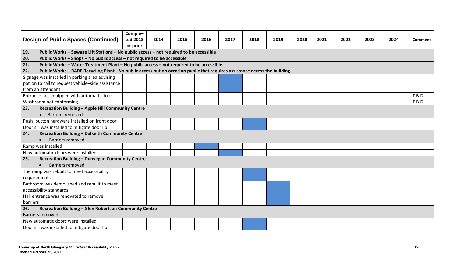|              | <b>Design of Public Spaces (Continued)</b>                                                                                 | Comple-<br>ted 2013<br>or prior | 2014 | 2015 | 2016 | 2017 | 2018 | 2019 | 2020 | 2021 | 2022 | 2023 | 2024 | <b>Comment</b> |
|--------------|----------------------------------------------------------------------------------------------------------------------------|---------------------------------|------|------|------|------|------|------|------|------|------|------|------|----------------|
| 19.          | Public Works - Sewage Lift Stations - No public access - not required to be accessible                                     |                                 |      |      |      |      |      |      |      |      |      |      |      |                |
| 20.          | Public Works - Shops - No public access - not required to be accessible                                                    |                                 |      |      |      |      |      |      |      |      |      |      |      |                |
| 21.          | Public Works - Water Treatment Plant - No public access - not required to be accessible                                    |                                 |      |      |      |      |      |      |      |      |      |      |      |                |
| 22.          | Public Works - RARE Recycling Plant - No public access but on occasion public that requires assistance access the building |                                 |      |      |      |      |      |      |      |      |      |      |      |                |
|              | Signage was installed in parking area advising                                                                             |                                 |      |      |      |      |      |      |      |      |      |      |      |                |
|              | patron to call to request vehicle-side assistance                                                                          |                                 |      |      |      |      |      |      |      |      |      |      |      |                |
|              | from an attendant                                                                                                          |                                 |      |      |      |      |      |      |      |      |      |      |      |                |
|              | Entrance not equipped with automatic door                                                                                  |                                 |      |      |      |      |      |      |      |      |      |      |      | T.B.D.         |
|              | Washroom not conforming                                                                                                    |                                 |      |      |      |      |      |      |      |      |      |      |      | T.B.D.         |
| 23.          | Recreation Building - Apple Hill Community Centre                                                                          |                                 |      |      |      |      |      |      |      |      |      |      |      |                |
|              | <b>Barriers removed</b><br>$\bullet$                                                                                       |                                 |      |      |      |      |      |      |      |      |      |      |      |                |
|              | Push-button hardware installed on front door                                                                               |                                 |      |      |      |      |      |      |      |      |      |      |      |                |
|              | Door sill was installed to mitigate door lip                                                                               |                                 |      |      |      |      |      |      |      |      |      |      |      |                |
| 24.          | Recreation Building - Dalkeith Community Centre                                                                            |                                 |      |      |      |      |      |      |      |      |      |      |      |                |
|              | Barriers removed                                                                                                           |                                 |      |      |      |      |      |      |      |      |      |      |      |                |
|              | Ramp was installed                                                                                                         |                                 |      |      |      |      |      |      |      |      |      |      |      |                |
|              | New automatic doors were installed                                                                                         |                                 |      |      |      |      |      |      |      |      |      |      |      |                |
| 25.          | Recreation Building - Dunvegan Community Centre                                                                            |                                 |      |      |      |      |      |      |      |      |      |      |      |                |
|              | <b>Barriers removed</b>                                                                                                    |                                 |      |      |      |      |      |      |      |      |      |      |      |                |
|              | The ramp was rebuilt to meet accessibility                                                                                 |                                 |      |      |      |      |      |      |      |      |      |      |      |                |
| requirements |                                                                                                                            |                                 |      |      |      |      |      |      |      |      |      |      |      |                |
|              | Bathroom was demolished and rebuilt to meet                                                                                |                                 |      |      |      |      |      |      |      |      |      |      |      |                |
|              | accessibility standards                                                                                                    |                                 |      |      |      |      |      |      |      |      |      |      |      |                |
|              | Hall entrance was renovated to remove                                                                                      |                                 |      |      |      |      |      |      |      |      |      |      |      |                |
| barriers     |                                                                                                                            |                                 |      |      |      |      |      |      |      |      |      |      |      |                |
| 26.          | Recreation Building - Glen Robertson Community Centre                                                                      |                                 |      |      |      |      |      |      |      |      |      |      |      |                |
|              | Barriers removed                                                                                                           |                                 |      |      |      |      |      |      |      |      |      |      |      |                |
|              | New automatic doors were installed                                                                                         |                                 |      |      |      |      |      |      |      |      |      |      |      |                |
|              | Door sill was installed to mitigate door lip                                                                               |                                 |      |      |      |      |      |      |      |      |      |      |      |                |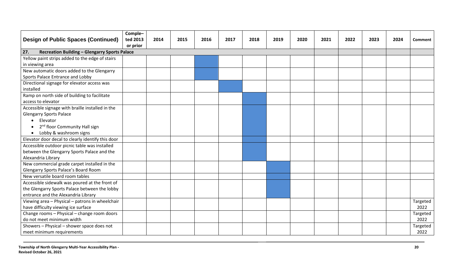| <b>Design of Public Spaces (Continued)</b>                         | Comple-<br>ted 2013 | 2014 | 2015 | 2016 | 2017 | 2018 | 2019 | 2020 | 2021 | 2022 | 2023 | 2024 | <b>Comment</b> |
|--------------------------------------------------------------------|---------------------|------|------|------|------|------|------|------|------|------|------|------|----------------|
|                                                                    | or prior            |      |      |      |      |      |      |      |      |      |      |      |                |
| <b>Recreation Building - Glengarry Sports Palace</b><br>27.        |                     |      |      |      |      |      |      |      |      |      |      |      |                |
| Yellow paint strips added to the edge of stairs<br>in viewing area |                     |      |      |      |      |      |      |      |      |      |      |      |                |
|                                                                    |                     |      |      |      |      |      |      |      |      |      |      |      |                |
| New automatic doors added to the Glengarry                         |                     |      |      |      |      |      |      |      |      |      |      |      |                |
| Sports Palace Entrance and Lobby                                   |                     |      |      |      |      |      |      |      |      |      |      |      |                |
| Directional signage for elevator access was<br>installed           |                     |      |      |      |      |      |      |      |      |      |      |      |                |
|                                                                    |                     |      |      |      |      |      |      |      |      |      |      |      |                |
| Ramp on north side of building to facilitate                       |                     |      |      |      |      |      |      |      |      |      |      |      |                |
| access to elevator                                                 |                     |      |      |      |      |      |      |      |      |      |      |      |                |
| Accessible signage with braille installed in the                   |                     |      |      |      |      |      |      |      |      |      |      |      |                |
| <b>Glengarry Sports Palace</b>                                     |                     |      |      |      |      |      |      |      |      |      |      |      |                |
| Elevator<br>$\bullet$                                              |                     |      |      |      |      |      |      |      |      |      |      |      |                |
| 2 <sup>nd</sup> floor Community Hall sign                          |                     |      |      |      |      |      |      |      |      |      |      |      |                |
| Lobby & washroom signs<br>$\bullet$                                |                     |      |      |      |      |      |      |      |      |      |      |      |                |
| Elevator door decal to clearly identify this door                  |                     |      |      |      |      |      |      |      |      |      |      |      |                |
| Accessible outdoor picnic table was installed                      |                     |      |      |      |      |      |      |      |      |      |      |      |                |
| between the Glengarry Sports Palace and the                        |                     |      |      |      |      |      |      |      |      |      |      |      |                |
| Alexandria Library                                                 |                     |      |      |      |      |      |      |      |      |      |      |      |                |
| New commercial grade carpet installed in the                       |                     |      |      |      |      |      |      |      |      |      |      |      |                |
| Glengarry Sports Palace's Board Room                               |                     |      |      |      |      |      |      |      |      |      |      |      |                |
| New versatile board room tables                                    |                     |      |      |      |      |      |      |      |      |      |      |      |                |
| Accessible sidewalk was poured at the front of                     |                     |      |      |      |      |      |      |      |      |      |      |      |                |
| the Glengarry Sports Palace between the lobby                      |                     |      |      |      |      |      |      |      |      |      |      |      |                |
| entrance and the Alexandria Library                                |                     |      |      |      |      |      |      |      |      |      |      |      |                |
| Viewing area - Physical - patrons in wheelchair                    |                     |      |      |      |      |      |      |      |      |      |      |      | Targeted       |
| have difficulty viewing ice surface                                |                     |      |      |      |      |      |      |      |      |      |      |      | 2022           |
| Change rooms - Physical - change room doors                        |                     |      |      |      |      |      |      |      |      |      |      |      | Targeted       |
| do not meet minimum width                                          |                     |      |      |      |      |      |      |      |      |      |      |      | 2022           |
| Showers - Physical - shower space does not                         |                     |      |      |      |      |      |      |      |      |      |      |      | Targeted       |
| meet minimum requirements                                          |                     |      |      |      |      |      |      |      |      |      |      |      | 2022           |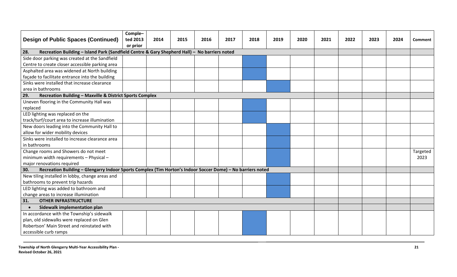| <b>Design of Public Spaces (Continued)</b>                                                                         | Comple-<br>ted 2013 | 2014 | 2015 | 2016 | 2017 | 2018 | 2019 | 2020 | 2021 | 2022 | 2023 | 2024 | Comment  |
|--------------------------------------------------------------------------------------------------------------------|---------------------|------|------|------|------|------|------|------|------|------|------|------|----------|
| or prior<br>Recreation Building - Island Park (Sandfield Centre & Gary Shepherd Hall) - No barriers noted<br>28.   |                     |      |      |      |      |      |      |      |      |      |      |      |          |
| Side door parking was created at the Sandfield                                                                     |                     |      |      |      |      |      |      |      |      |      |      |      |          |
| Centre to create closer accessible parking area                                                                    |                     |      |      |      |      |      |      |      |      |      |      |      |          |
| Asphalted area was widened at North building                                                                       |                     |      |      |      |      |      |      |      |      |      |      |      |          |
| façade to facilitate entrance into the building                                                                    |                     |      |      |      |      |      |      |      |      |      |      |      |          |
|                                                                                                                    |                     |      |      |      |      |      |      |      |      |      |      |      |          |
| Sinks were installed that increase clearance                                                                       |                     |      |      |      |      |      |      |      |      |      |      |      |          |
| area in bathrooms                                                                                                  |                     |      |      |      |      |      |      |      |      |      |      |      |          |
| Recreation Building - Maxville & District Sports Complex<br>29.                                                    |                     |      |      |      |      |      |      |      |      |      |      |      |          |
| Uneven flooring in the Community Hall was                                                                          |                     |      |      |      |      |      |      |      |      |      |      |      |          |
| replaced                                                                                                           |                     |      |      |      |      |      |      |      |      |      |      |      |          |
| LED lighting was replaced on the                                                                                   |                     |      |      |      |      |      |      |      |      |      |      |      |          |
| track/turf/court area to increase illumination                                                                     |                     |      |      |      |      |      |      |      |      |      |      |      |          |
| New doors leading into the Community Hall to                                                                       |                     |      |      |      |      |      |      |      |      |      |      |      |          |
| allow for wider mobility devices                                                                                   |                     |      |      |      |      |      |      |      |      |      |      |      |          |
| Sinks were installed to increase clearance area                                                                    |                     |      |      |      |      |      |      |      |      |      |      |      |          |
| in bathrooms                                                                                                       |                     |      |      |      |      |      |      |      |      |      |      |      |          |
| Change rooms and Showers do not meet                                                                               |                     |      |      |      |      |      |      |      |      |      |      |      | Targeted |
| minimum width requirements - Physical -                                                                            |                     |      |      |      |      |      |      |      |      |      |      |      | 2023     |
| major renovations required                                                                                         |                     |      |      |      |      |      |      |      |      |      |      |      |          |
| Recreation Building - Glengarry Indoor Sports Complex (Tim Horton's Indoor Soccer Dome) - No barriers noted<br>30. |                     |      |      |      |      |      |      |      |      |      |      |      |          |
| New tiling installed in lobby, change areas and                                                                    |                     |      |      |      |      |      |      |      |      |      |      |      |          |
| bathrooms to prevent trip hazards                                                                                  |                     |      |      |      |      |      |      |      |      |      |      |      |          |
| LED lighting was added to bathroom and                                                                             |                     |      |      |      |      |      |      |      |      |      |      |      |          |
| change areas to increase illumination                                                                              |                     |      |      |      |      |      |      |      |      |      |      |      |          |
| <b>OTHER INFRASTRUCTURE</b><br>31.                                                                                 |                     |      |      |      |      |      |      |      |      |      |      |      |          |
| Sidewalk implementation plan<br>$\bullet$                                                                          |                     |      |      |      |      |      |      |      |      |      |      |      |          |
| In accordance with the Township's sidewalk                                                                         |                     |      |      |      |      |      |      |      |      |      |      |      |          |
| plan, old sidewalks were replaced on Glen                                                                          |                     |      |      |      |      |      |      |      |      |      |      |      |          |
| Robertson' Main Street and reinstated with                                                                         |                     |      |      |      |      |      |      |      |      |      |      |      |          |
| accessible curb ramps                                                                                              |                     |      |      |      |      |      |      |      |      |      |      |      |          |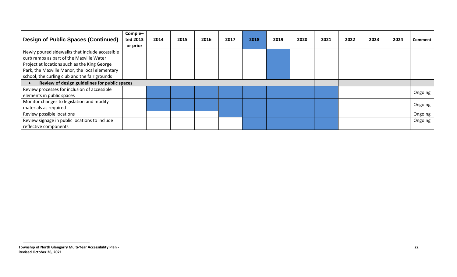| <b>Design of Public Spaces (Continued)</b>     | Comple-<br>ted 2013<br>or prior | 2014 | 2015 | 2016 | 2017 | 2018 | 2019 | 2020 | 2021 | 2022 | 2023 | 2024 | <b>Comment</b> |
|------------------------------------------------|---------------------------------|------|------|------|------|------|------|------|------|------|------|------|----------------|
| Newly poured sidewalks that include accessible |                                 |      |      |      |      |      |      |      |      |      |      |      |                |
| curb ramps as part of the Maxville Water       |                                 |      |      |      |      |      |      |      |      |      |      |      |                |
| Project at locations such as the King George   |                                 |      |      |      |      |      |      |      |      |      |      |      |                |
| Park, the Maxville Manor, the local elementary |                                 |      |      |      |      |      |      |      |      |      |      |      |                |
| school, the curling club and the fair grounds  |                                 |      |      |      |      |      |      |      |      |      |      |      |                |
| Review of design guidelines for public spaces  |                                 |      |      |      |      |      |      |      |      |      |      |      |                |
| Review processes for inclusion of accessible   |                                 |      |      |      |      |      |      |      |      |      |      |      | Ongoing        |
| elements in public spaces                      |                                 |      |      |      |      |      |      |      |      |      |      |      |                |
| Monitor changes to legislation and modify      |                                 |      |      |      |      |      |      |      |      |      |      |      |                |
| materials as required                          |                                 |      |      |      |      |      |      |      |      |      |      |      | Ongoing        |
| Review possible locations                      |                                 |      |      |      |      |      |      |      |      |      |      |      | Ongoing        |
| Review signage in public locations to include  |                                 |      |      |      |      |      |      |      |      |      |      |      | Ongoing        |
| reflective components                          |                                 |      |      |      |      |      |      |      |      |      |      |      |                |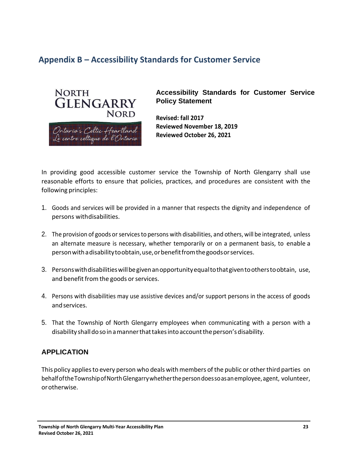## <span id="page-22-0"></span>**Appendix B – Accessibility Standards for Customer Service**



**Accessibility Standards for Customer Service Policy Statement**

**Revised: fall 2017 Reviewed November 18, 2019 Reviewed October 26, 2021**

In providing good accessible customer service the Township of North Glengarry shall use reasonable efforts to ensure that policies, practices, and procedures are consistent with the following principles:

- 1. Goods and services will be provided in a manner that respects the dignity and independence of persons withdisabilities.
- 2. The provision of goods or services to persons with disabilities, and others, will be integrated, unless an alternate measure is necessary, whether temporarily or on a permanent basis, to enable a personwithadisabilitytoobtain,use,orbenefitfromthegoodsorservices.
- 3. Personswithdisabilitieswillbegivenanopportunityequaltothatgiventootherstoobtain, use, and benefit from the goods or services.
- 4. Persons with disabilities may use assistive devices and/or support persons in the access of goods andservices.
- 5. That the Township of North Glengarry employees when communicating with a person with a disability shall do so in a manner that takes into account the person's disability.

### **APPLICATION**

This policy applies to every person who deals with members of the public or other third parties on behalf of the Township of North Glengarry whether the person does so as an employee, agent, volunteer, orotherwise.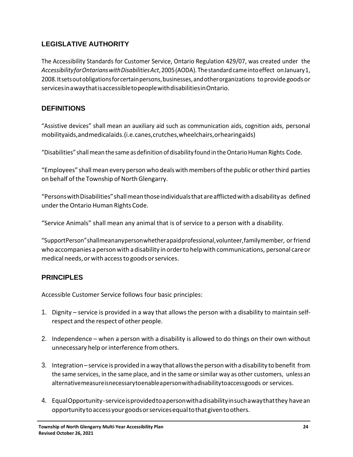## **LEGISLATIVE AUTHORITY**

The Accessibility Standards for Customer Service, Ontario Regulation 429/07, was created under the *AccessibilityforOntarianswithDisabilitiesAct*,2005(AODA). Thestandardcameintoeffect onJanuary1, 2008. Itsets out obligations for certain persons, businesses, and other organizations to provide goods or servicesinawaythatisaccessibletopeoplewithdisabilitiesinOntario.

### **DEFINITIONS**

"Assistive devices" shall mean an auxiliary aid such as communication aids, cognition aids, personal mobilityaids,andmedicalaids.(i.e.canes,crutches,wheelchairs,orhearingaids)

"Disabilities" shall mean the same as definition of disability found in the Ontario Human Rights Code.

"Employees" shallmean every person who dealswithmembers ofthe public or otherthird parties on behalf of the Township of North Glengarry.

"PersonswithDisabilities"shallmeanthoseindividualsthatareafflictedwithadisabilityas defined undertheOntario Human Rights Code.

"Service Animals" shall mean any animal that is of service to a person with a disability.

"SupportPerson"shallmeananypersonwhetherapaidprofessional,volunteer,familymember, orfriend who accompanies apersonwith adisability in orderto helpwith communications, personal careor medical needs, or with access to goods or services.

### **PRINCIPLES**

Accessible Customer Service follows four basic principles:

- 1. Dignity service is provided in a way that allowsthe person with a disability to maintain selfrespect and the respect of other people.
- 2. Independence when a person with a disability is allowed to do things on their own without unnecessary help or interference from others.
- 3. Integration– service isprovided in away that allowsthe personwith adisability to benefit from the same services, in the same place, and in the same or similar way as other customers, unless an alternativemeasureisnecessarytoenableapersonwithadisabilitytoaccessgoods orservices.
- 4. EqualOpportunity-serviceisprovidedtoapersonwithadisabilityinsuchawaythatthey havean opportunitytoaccessyourgoodsorservicesequaltothatgiventoothers.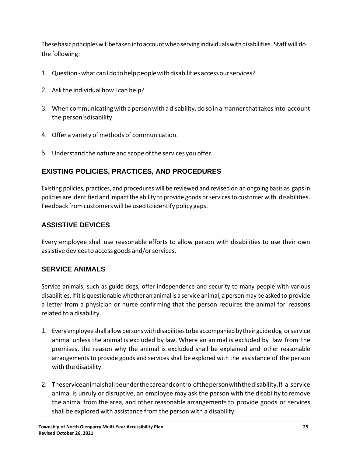These basic principles will be taken into account when serving individuals with disabilities. Staff will do the following:

- 1. Question what can I do to help people with disabilities access our services?
- 2. Ask the individual how I can help?
- 3. When communicatingwith aperson withadisability, do soin amannerthattakesinto account the person'sdisability.
- 4. Offer a variety of methods of communication.
- 5. Understand the nature and scope ofthe services you offer.

### **EXISTING POLICIES, PRACTICES, AND PROCEDURES**

Existing policies, practices, and procedures will be reviewed and revised on an ongoing basis as gapsin policies are identified and impact the ability to provide goods or services to customer with disabilities. Feedback from customers will be used to identify policy gaps.

### **ASSISTIVE DEVICES**

Every employee shall use reasonable efforts to allow person with disabilities to use their own assistive devices to access goods and/or services.

### **SERVICE ANIMALS**

Service animals, such as guide dogs, offer independence and security to many people with various disabilities. Ifitis questionable whether an animal is a service animal, a person maybe asked to provide a letter from a physician or nurse confirming that the person requires the animal for reasons related to a disability.

- 1. Everyemployeeshallallowpersonswithdisabilitiestobe accompaniedbytheir guidedog orservice animal unless the animal is excluded by law. Where an animal is excluded by law from the premises, the reason why the animal is excluded shall be explained and other reasonable arrangements to provide goods and services shall be explored with the assistance of the person with the disability.
- 2. Theserviceanimalshallbeunderthecareandcontrolofthepersonwiththedisability.If a service animal is unruly or disruptive, an employee may ask the person with the disability toremove the animal from the area, and other reasonable arrangements to provide goods or services shall be explored with assistance from the person with a disability.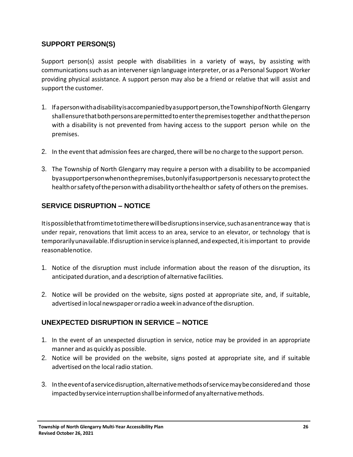### **SUPPORT PERSON(S)**

Support person(s) assist people with disabilities in a variety of ways, by assisting with communicationssuch as an intervenersign language interpreter, or as a Personal Support Worker providing physical assistance. A support person may also be a friend or relative that will assist and support the customer.

- 1. Ifapersonwithadisabilityisaccompaniedbyasupportperson,theTownshipofNorth Glengarry shallensurethatbothpersonsarepermittedtoenterthepremisestogether andthattheperson with a disability is not prevented from having access to the support person while on the premises.
- 2. In the event that admission fees are charged, there will be no charge to the support person.
- 3. The Township of North Glengarry may require a person with a disability to be accompanied byasupportpersonwhenonthepremises,butonlyifasupportpersonis necessary toprotectthe health or safety of the person with a disability or the health or safety of others on the premises.

### **SERVICE DISRUPTION – NOTICE**

Itispossiblethatfromtimetotimetherewillbedisruptionsinservice,suchasanentranceway thatis under repair, renovations that limit access to an area, service to an elevator, or technology that is temporarilyunavailable.Ifdisruptioninserviceisplanned,andexpected,itisimportant to provide reasonablenotice.

- 1. Notice of the disruption must include information about the reason of the disruption, its anticipated duration, and a description of alternative facilities.
- 2. Notice will be provided on the website, signs posted at appropriate site, and, if suitable, advertised in local newspaper or radio a week in advance of the disruption.

### **UNEXPECTED DISRUPTION IN SERVICE – NOTICE**

- 1. In the event of an unexpected disruption in service, notice may be provided in an appropriate manner and as quickly as possible.
- 2. Notice will be provided on the website, signs posted at appropriate site, and if suitable advertised on the local radio station.
- 3. Intheeventofaservicedisruption,alternativemethodsofservicemaybeconsideredand those impacted by service interruption shall be informed of any alternative methods.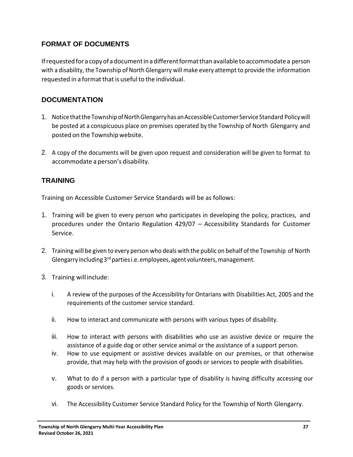## **FORMAT OF DOCUMENTS**

If requested for a copy of a document in a different format than available to accommodate a person with a disability, the Township of North Glengarry will make every attempt to provide the information requested in a format that is useful to the individual.

### **DOCUMENTATION**

- 1. NoticethattheTownshipofNorthGlengarryhasanAccessibleCustomer Service Standard Policywill be posted at a conspicuous place on premises operated by the Township of North Glengarry and posted on the Township website.
- 2. A copy of the documents will be given upon request and consideration will be given to format to accommodate a person's disability.

### **TRAINING**

Training on Accessible Customer Service Standards will be as follows:

- 1. Training will be given to every person who participates in developing the policy, practices, and procedures under the Ontario Regulation 429/07 – Accessibility Standards for Customer Service.
- 2. Training will be given to every person who deals with the public on behalf ofthe Township of North Glengarry including 3<sup>rd</sup> parties i.e. employees, agent volunteers, management.
- 3. Training willinclude:
	- i. A review of the purposes of the Accessibility for Ontarians with Disabilities Act, 2005 and the requirements of the customer service standard.
	- ii. How to interact and communicate with persons with various types of disability.
	- iii. How to interact with persons with disabilities who use an assistive device or require the assistance of a guide dog or other service animal or the assistance of a support person.
	- iv. How to use equipment or assistive devices available on our premises, or that otherwise provide, that may help with the provision of goods or services to people with disabilities.
	- v. What to do if a person with a particular type of disability is having difficulty accessing our goods or services.
	- vi. The Accessibility Customer Service Standard Policy for the Township of North Glengarry.